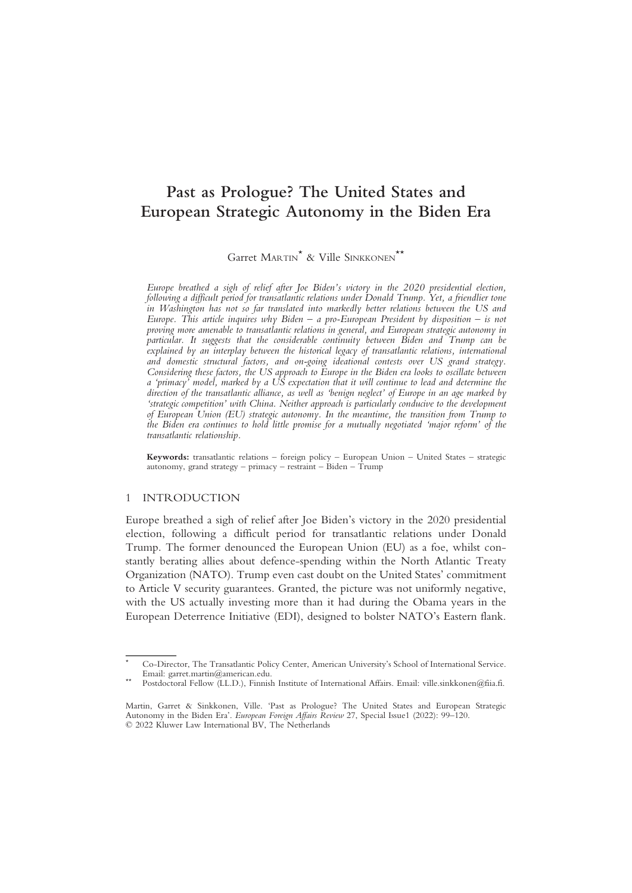# Past as Prologue? The United States and European Strategic Autonomy in the Biden Era

Garret MARTIN\* & Ville SINKKONEN\*\*

Europe breathed a sigh of relief after Joe Biden's victory in the 2020 presidential election, following a difficult period for transatlantic relations under Donald Trump. Yet, a friendlier tone in Washington has not so far translated into markedly better relations between the US and Europe. This article inquires why Biden – a pro-European President by disposition – is not proving more amenable to transatlantic relations in general, and European strategic autonomy in particular. It suggests that the considerable continuity between Biden and Trump can be explained by an interplay between the historical legacy of transatlantic relations, international and domestic structural factors, and on-going ideational contests over US grand strategy. Considering these factors, the US approach to Europe in the Biden era looks to oscillate between a 'primacy' model, marked by a US expectation that it will continue to lead and determine the direction of the transatlantic alliance, as well as 'benign neglect' of Europe in an age marked by 'strategic competition' with China. Neither approach is particularly conducive to the development of European Union (EU) strategic autonomy. In the meantime, the transition from Trump to the Biden era continues to hold little promise for a mutually negotiated 'major reform' of the transatlantic relationship.

Keywords: transatlantic relations – foreign policy – European Union – United States – strategic autonomy, grand strategy – primacy – restraint – Biden –  $\hat{T}$ rump

## 1 INTRODUCTION

Europe breathed a sigh of relief after Joe Biden's victory in the 2020 presidential election, following a difficult period for transatlantic relations under Donald Trump. The former denounced the European Union (EU) as a foe, whilst constantly berating allies about defence-spending within the North Atlantic Treaty Organization (NATO). Trump even cast doubt on the United States' commitment to Article V security guarantees. Granted, the picture was not uniformly negative, with the US actually investing more than it had during the Obama years in the European Deterrence Initiative (EDI), designed to bolster NATO's Eastern flank.

<sup>\*</sup> Co-Director, The Transatlantic Policy Center, American University's School of International Service. Email: garret.martin@american.edu.<br>Postdoctoral Fellow (LL.D.), Finnish Institute of International Affairs. Email: ville.sinkkonen@fiia.fi.

Martin, Garret & Sinkkonen, Ville. 'Past as Prologue? The United States and European Strategic Autonomy in the Biden Era'. European Foreign Affairs Review 27, Special Issue1 (2022): 99-120. © 2022 Kluwer Law International BV, The Netherlands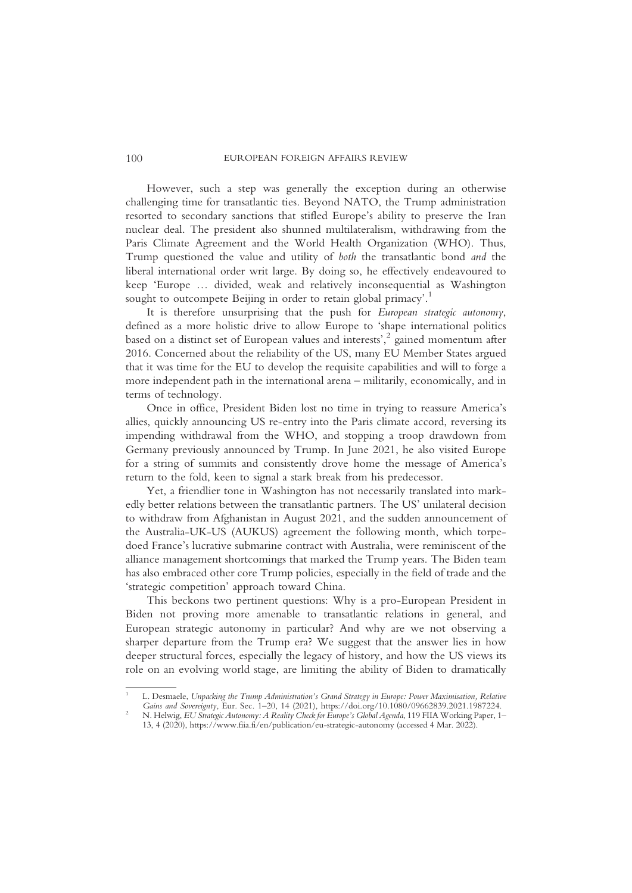However, such a step was generally the exception during an otherwise challenging time for transatlantic ties. Beyond NATO, the Trump administration resorted to secondary sanctions that stifled Europe's ability to preserve the Iran nuclear deal. The president also shunned multilateralism, withdrawing from the Paris Climate Agreement and the World Health Organization (WHO). Thus, Trump questioned the value and utility of both the transatlantic bond and the liberal international order writ large. By doing so, he effectively endeavoured to keep 'Europe … divided, weak and relatively inconsequential as Washington sought to outcompete Beijing in order to retain global primacy'.<sup>1</sup>

It is therefore unsurprising that the push for European strategic autonomy, defined as a more holistic drive to allow Europe to 'shape international politics based on a distinct set of European values and interests', <sup>2</sup> gained momentum after 2016. Concerned about the reliability of the US, many EU Member States argued that it was time for the EU to develop the requisite capabilities and will to forge a more independent path in the international arena – militarily, economically, and in terms of technology.

Once in office, President Biden lost no time in trying to reassure America's allies, quickly announcing US re-entry into the Paris climate accord, reversing its impending withdrawal from the WHO, and stopping a troop drawdown from Germany previously announced by Trump. In June 2021, he also visited Europe for a string of summits and consistently drove home the message of America's return to the fold, keen to signal a stark break from his predecessor.

Yet, a friendlier tone in Washington has not necessarily translated into markedly better relations between the transatlantic partners. The US' unilateral decision to withdraw from Afghanistan in August 2021, and the sudden announcement of the Australia-UK-US (AUKUS) agreement the following month, which torpedoed France's lucrative submarine contract with Australia, were reminiscent of the alliance management shortcomings that marked the Trump years. The Biden team has also embraced other core Trump policies, especially in the field of trade and the 'strategic competition' approach toward China.

This beckons two pertinent questions: Why is a pro-European President in Biden not proving more amenable to transatlantic relations in general, and European strategic autonomy in particular? And why are we not observing a sharper departure from the Trump era? We suggest that the answer lies in how deeper structural forces, especially the legacy of history, and how the US views its role on an evolving world stage, are limiting the ability of Biden to dramatically

L. Desmaele, Unpacking the Trump Administration's Grand Strategy in Europe: Power Maximisation, Relative Gains and Sovereignty, Eur. Sec. 1-20, 14 (2021), https://doi.org/10.1080/09662839.2021.1987224.

<sup>&</sup>lt;sup>2</sup> N. Helwig, EU Strategic Autonomy: A Reality Check for Europe's Global Agenda, 119 FIIA Working Paper, 1– 13, 4 (2020), https://www.fiia.fi/en/publication/eu-strategic-autonomy (accessed 4 Mar. 2022).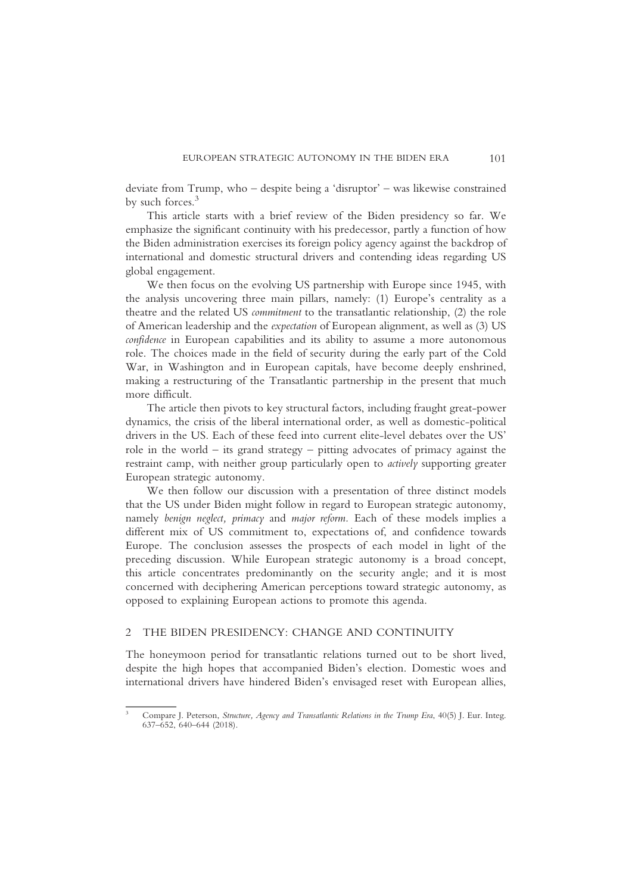deviate from Trump, who – despite being a 'disruptor' – was likewise constrained by such forces.<sup>3</sup>

This article starts with a brief review of the Biden presidency so far. We emphasize the significant continuity with his predecessor, partly a function of how the Biden administration exercises its foreign policy agency against the backdrop of international and domestic structural drivers and contending ideas regarding US global engagement.

We then focus on the evolving US partnership with Europe since 1945, with the analysis uncovering three main pillars, namely: (1) Europe's centrality as a theatre and the related US commitment to the transatlantic relationship, (2) the role of American leadership and the expectation of European alignment, as well as (3) US confidence in European capabilities and its ability to assume a more autonomous role. The choices made in the field of security during the early part of the Cold War, in Washington and in European capitals, have become deeply enshrined, making a restructuring of the Transatlantic partnership in the present that much more difficult.

The article then pivots to key structural factors, including fraught great-power dynamics, the crisis of the liberal international order, as well as domestic-political drivers in the US. Each of these feed into current elite-level debates over the US' role in the world – its grand strategy – pitting advocates of primacy against the restraint camp, with neither group particularly open to actively supporting greater European strategic autonomy.

We then follow our discussion with a presentation of three distinct models that the US under Biden might follow in regard to European strategic autonomy, namely benign neglect, primacy and major reform. Each of these models implies a different mix of US commitment to, expectations of, and confidence towards Europe. The conclusion assesses the prospects of each model in light of the preceding discussion. While European strategic autonomy is a broad concept, this article concentrates predominantly on the security angle; and it is most concerned with deciphering American perceptions toward strategic autonomy, as opposed to explaining European actions to promote this agenda.

## 2 THE BIDEN PRESIDENCY: CHANGE AND CONTINUITY

The honeymoon period for transatlantic relations turned out to be short lived, despite the high hopes that accompanied Biden's election. Domestic woes and international drivers have hindered Biden's envisaged reset with European allies,

<sup>&</sup>lt;sup>3</sup> Compare J. Peterson, Structure, Agency and Transatlantic Relations in the Trump Era, 40(5) J. Eur. Integ. 637–652, 640–644 (2018).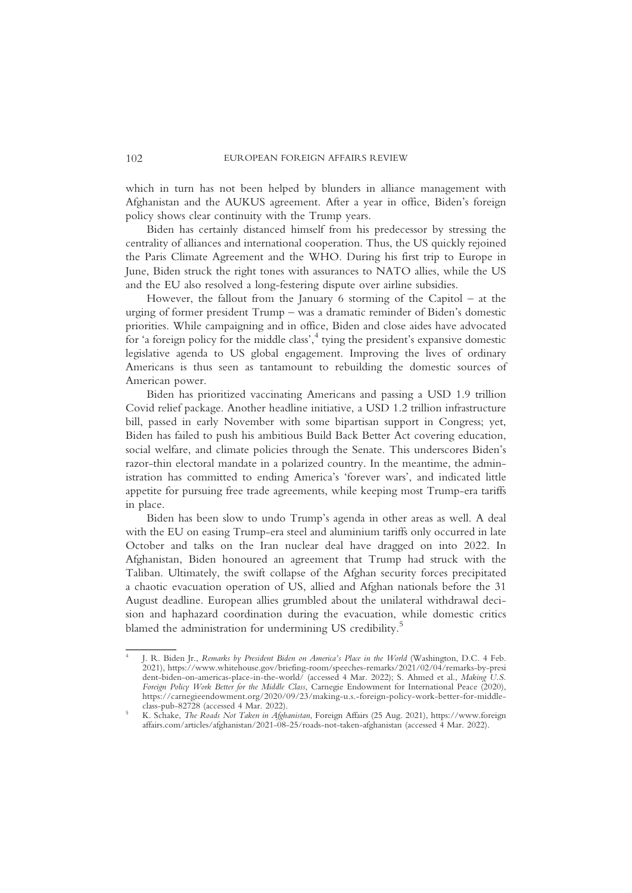which in turn has not been helped by blunders in alliance management with Afghanistan and the AUKUS agreement. After a year in office, Biden's foreign policy shows clear continuity with the Trump years.

Biden has certainly distanced himself from his predecessor by stressing the centrality of alliances and international cooperation. Thus, the US quickly rejoined the Paris Climate Agreement and the WHO. During his first trip to Europe in June, Biden struck the right tones with assurances to NATO allies, while the US and the EU also resolved a long-festering dispute over airline subsidies.

However, the fallout from the January 6 storming of the Capitol – at the urging of former president Trump – was a dramatic reminder of Biden's domestic priorities. While campaigning and in office, Biden and close aides have advocated for 'a foreign policy for the middle class', <sup>4</sup> tying the president's expansive domestic legislative agenda to US global engagement. Improving the lives of ordinary Americans is thus seen as tantamount to rebuilding the domestic sources of American power.

Biden has prioritized vaccinating Americans and passing a USD 1.9 trillion Covid relief package. Another headline initiative, a USD 1.2 trillion infrastructure bill, passed in early November with some bipartisan support in Congress; yet, Biden has failed to push his ambitious Build Back Better Act covering education, social welfare, and climate policies through the Senate. This underscores Biden's razor-thin electoral mandate in a polarized country. In the meantime, the administration has committed to ending America's 'forever wars', and indicated little appetite for pursuing free trade agreements, while keeping most Trump-era tariffs in place.

Biden has been slow to undo Trump's agenda in other areas as well. A deal with the EU on easing Trump-era steel and aluminium tariffs only occurred in late October and talks on the Iran nuclear deal have dragged on into 2022. In Afghanistan, Biden honoured an agreement that Trump had struck with the Taliban. Ultimately, the swift collapse of the Afghan security forces precipitated a chaotic evacuation operation of US, allied and Afghan nationals before the 31 August deadline. European allies grumbled about the unilateral withdrawal decision and haphazard coordination during the evacuation, while domestic critics blamed the administration for undermining US credibility.5

<sup>4</sup> J. R. Biden Jr., Remarks by President Biden on America's Place in the World (Washington, D.C. 4 Feb. 2021), https://www.whitehouse.gov/briefing-room/speeches-remarks/2021/02/04/remarks-by-presi dent-biden-on-americas-place-in-the-world/ (accessed 4 Mar. 2022); S. Ahmed et al., Making U.S. Foreign Policy Work Better for the Middle Class, Carnegie Endowment for International Peace (2020), https://carnegieendowment.org/2020/09/23/making-u.s.-foreign-policy-work-better-for-middle-<br>class-pub-82728 (accessed 4 Mar. 2022).

<sup>&</sup>lt;sup>5</sup> K. Schake, *The Roads Not Taken in Afghanistan*, Foreign Affairs (25 Aug. 2021), https://www.foreign affairs.com/articles/afghanistan/2021-08-25/roads-not-taken-afghanistan (accessed 4 Mar. 2022).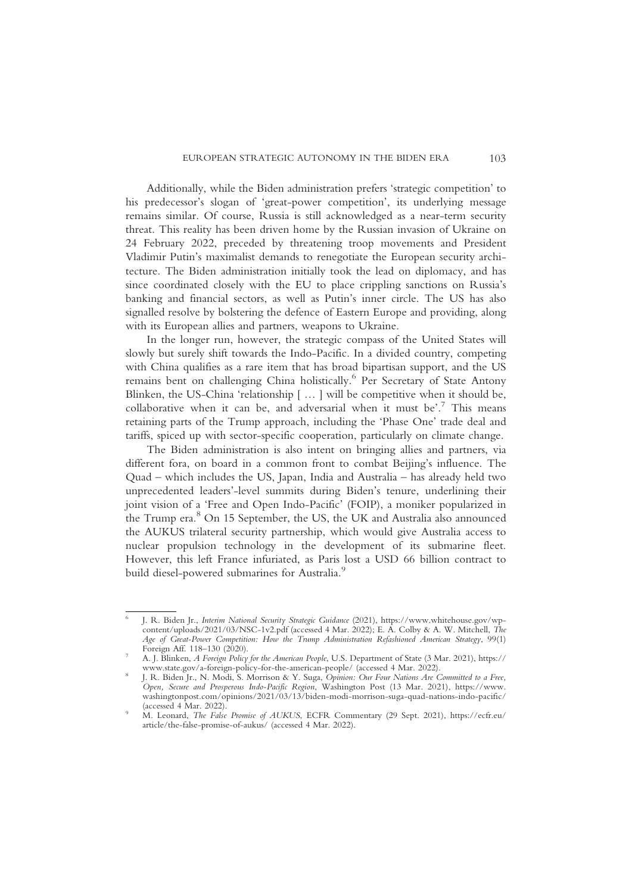Additionally, while the Biden administration prefers 'strategic competition' to his predecessor's slogan of 'great-power competition', its underlying message remains similar. Of course, Russia is still acknowledged as a near-term security threat. This reality has been driven home by the Russian invasion of Ukraine on 24 February 2022, preceded by threatening troop movements and President Vladimir Putin's maximalist demands to renegotiate the European security architecture. The Biden administration initially took the lead on diplomacy, and has since coordinated closely with the EU to place crippling sanctions on Russia's banking and financial sectors, as well as Putin's inner circle. The US has also signalled resolve by bolstering the defence of Eastern Europe and providing, along with its European allies and partners, weapons to Ukraine.

In the longer run, however, the strategic compass of the United States will slowly but surely shift towards the Indo-Pacific. In a divided country, competing with China qualifies as a rare item that has broad bipartisan support, and the US remains bent on challenging China holistically.<sup>6</sup> Per Secretary of State Antony Blinken, the US-China 'relationship [ … ] will be competitive when it should be, collaborative when it can be, and adversarial when it must be'. <sup>7</sup> This means retaining parts of the Trump approach, including the 'Phase One' trade deal and tariffs, spiced up with sector-specific cooperation, particularly on climate change.

The Biden administration is also intent on bringing allies and partners, via different fora, on board in a common front to combat Beijing's influence. The Quad – which includes the US, Japan, India and Australia – has already held two unprecedented leaders'-level summits during Biden's tenure, underlining their joint vision of a 'Free and Open Indo-Pacific' (FOIP), a moniker popularized in the Trump era.<sup>8</sup> On 15 September, the US, the UK and Australia also announced the AUKUS trilateral security partnership, which would give Australia access to nuclear propulsion technology in the development of its submarine fleet. However, this left France infuriated, as Paris lost a USD 66 billion contract to build diesel-powered submarines for Australia.<sup>9</sup>

<sup>6</sup> J. R. Biden Jr., Interim National Security Strategic Guidance (2021), https://www.whitehouse.gov/wpcontent/uploads/2021/03/NSC-1v2.pdf (accessed 4 Mar. 2022); E. A. Colby & A. W. Mitchell, The Age of Great-Power Competition: How the Trump Administration Refashioned American Strategy, 99(1)<br>Foreign Aff. 118–130 (2020).

A. J. Blinken, A Foreign Policy for the American People, U.S. Department of State (3 Mar. 2021), https://<br>www.state.gov/a-foreign-policy-for-the-american-people/ (accessed 4 Mar. 2022). www.state.gov/a-foreign-policy-for-the-american-people/ (accessed 4 Mar. 2022). <sup>8</sup> J. R. Biden Jr., N. Modi, S. Morrison & Y. Suga, Opinion: Our Four Nations Are Committed to a Free,

Open, Secure and Prosperous Indo-Pacific Region, Washington Post (13 Mar. 2021), https://www. washingtonpost.com/opinions/2021/03/13/biden-modi-morrison-suga-quad-nations-indo-pacific/<br>(accessed 4 Mar. 2022).

<sup>(</sup>accessed 4 Martin 2022).<br>M. Leonard, *The False Promise of AUKUS*, ECFR Commentary (29 Sept. 2021), https://ecfr.eu/ article/the-false-promise-of-aukus/ (accessed 4 Mar. 2022).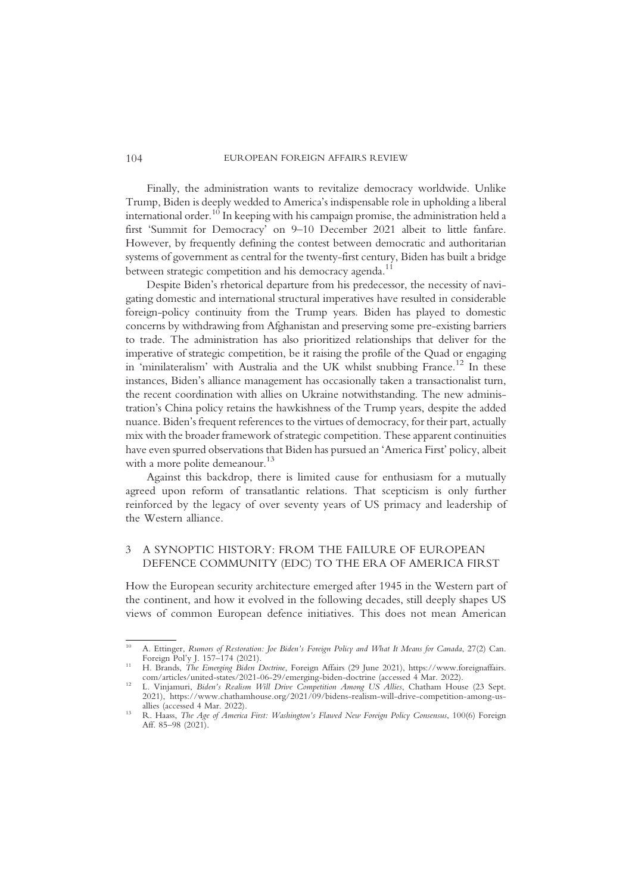Finally, the administration wants to revitalize democracy worldwide. Unlike Trump, Biden is deeply wedded to America's indispensable role in upholding a liberal international order.10 In keeping with his campaign promise, the administration held a first 'Summit for Democracy' on 9–10 December 2021 albeit to little fanfare. However, by frequently defining the contest between democratic and authoritarian systems of government as central for the twenty-first century, Biden has built a bridge between strategic competition and his democracy agenda.<sup>11</sup>

Despite Biden's rhetorical departure from his predecessor, the necessity of navigating domestic and international structural imperatives have resulted in considerable foreign-policy continuity from the Trump years. Biden has played to domestic concerns by withdrawing from Afghanistan and preserving some pre-existing barriers to trade. The administration has also prioritized relationships that deliver for the imperative of strategic competition, be it raising the profile of the Quad or engaging in 'minilateralism' with Australia and the UK whilst snubbing France.<sup>12</sup> In these instances, Biden's alliance management has occasionally taken a transactionalist turn, the recent coordination with allies on Ukraine notwithstanding. The new administration's China policy retains the hawkishness of the Trump years, despite the added nuance. Biden's frequent references to the virtues of democracy, for their part, actually mix with the broader framework of strategic competition. These apparent continuities have even spurred observations that Biden has pursued an 'America First' policy, albeit with a more polite demeanour.<sup>13</sup>

Against this backdrop, there is limited cause for enthusiasm for a mutually agreed upon reform of transatlantic relations. That scepticism is only further reinforced by the legacy of over seventy years of US primacy and leadership of the Western alliance.

# 3 A SYNOPTIC HISTORY: FROM THE FAILURE OF EUROPEAN DEFENCE COMMUNITY (EDC) TO THE ERA OF AMERICA FIRST

How the European security architecture emerged after 1945 in the Western part of the continent, and how it evolved in the following decades, still deeply shapes US views of common European defence initiatives. This does not mean American

<sup>&</sup>lt;sup>10</sup> A. Ettinger, *Rumors of Restoration: Joe Biden's Foreign Policy and What It Means for Canada, 27(2) Can. Foreign Pol'v J. 157–174 (2021).* 

Foreign Politics, The Emerging Biden Doctrine, Foreign Affairs (29 June 2021), https://www.foreignaffairs.<br>
com/articles/united-states/2021-06-29/emerging-biden-doctrine (accessed 4 Mar. 2022).

<sup>&</sup>lt;sup>12</sup> L. Vinjamuri, Biden's Realism Will Drive Competition Among US Allies, Chatham House (23 Sept. 2021), https://www.chathamhouse.org/2021/09/bidens-realism-will-drive-competition-among-us-

<sup>&</sup>lt;sup>13</sup> R. Haass, *The Age of America First: Washington's Flawed New Foreign Policy Consensus*, 100(6) Foreign Aff. 85–98 (2021).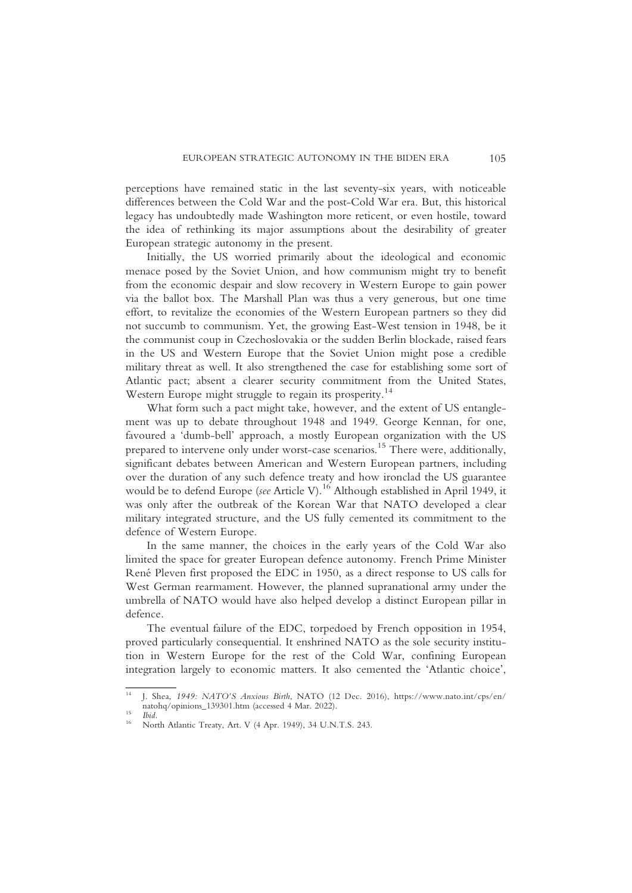perceptions have remained static in the last seventy-six years, with noticeable differences between the Cold War and the post-Cold War era. But, this historical legacy has undoubtedly made Washington more reticent, or even hostile, toward the idea of rethinking its major assumptions about the desirability of greater European strategic autonomy in the present.

Initially, the US worried primarily about the ideological and economic menace posed by the Soviet Union, and how communism might try to benefit from the economic despair and slow recovery in Western Europe to gain power via the ballot box. The Marshall Plan was thus a very generous, but one time effort, to revitalize the economies of the Western European partners so they did not succumb to communism. Yet, the growing East-West tension in 1948, be it the communist coup in Czechoslovakia or the sudden Berlin blockade, raised fears in the US and Western Europe that the Soviet Union might pose a credible military threat as well. It also strengthened the case for establishing some sort of Atlantic pact; absent a clearer security commitment from the United States, Western Europe might struggle to regain its prosperity.<sup>14</sup>

What form such a pact might take, however, and the extent of US entanglement was up to debate throughout 1948 and 1949. George Kennan, for one, favoured a 'dumb-bell' approach, a mostly European organization with the US prepared to intervene only under worst-case scenarios.<sup>15</sup> There were, additionally, significant debates between American and Western European partners, including over the duration of any such defence treaty and how ironclad the US guarantee would be to defend Europe (see Article V).<sup>16</sup> Although established in April 1949, it was only after the outbreak of the Korean War that NATO developed a clear military integrated structure, and the US fully cemented its commitment to the defence of Western Europe.

In the same manner, the choices in the early years of the Cold War also limited the space for greater European defence autonomy. French Prime Minister René Pleven first proposed the EDC in 1950, as a direct response to US calls for West German rearmament. However, the planned supranational army under the umbrella of NATO would have also helped develop a distinct European pillar in defence.

The eventual failure of the EDC, torpedoed by French opposition in 1954, proved particularly consequential. It enshrined NATO as the sole security institution in Western Europe for the rest of the Cold War, confining European integration largely to economic matters. It also cemented the 'Atlantic choice',

<sup>14</sup> J. Shea, 1949: NATO'S Anxious Birth, NATO (12 Dec. 2016), https://www.nato.int/cps/en/

<sup>&</sup>lt;sup>15</sup> Ibid. <sup>16</sup> North Atlantic Treaty, Art. V (4 Apr. 1949), 34 U.N.T.S. 243.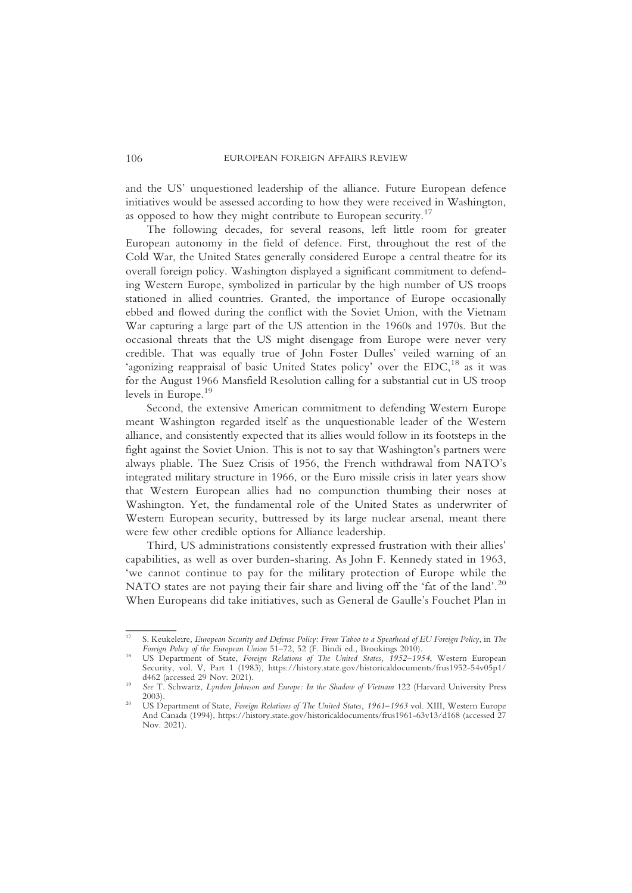and the US' unquestioned leadership of the alliance. Future European defence initiatives would be assessed according to how they were received in Washington, as opposed to how they might contribute to European security.<sup>17</sup>

The following decades, for several reasons, left little room for greater European autonomy in the field of defence. First, throughout the rest of the Cold War, the United States generally considered Europe a central theatre for its overall foreign policy. Washington displayed a significant commitment to defending Western Europe, symbolized in particular by the high number of US troops stationed in allied countries. Granted, the importance of Europe occasionally ebbed and flowed during the conflict with the Soviet Union, with the Vietnam War capturing a large part of the US attention in the 1960s and 1970s. But the occasional threats that the US might disengage from Europe were never very credible. That was equally true of John Foster Dulles' veiled warning of an 'agonizing reappraisal of basic United States policy' over the EDC,<sup>18</sup> as it was for the August 1966 Mansfield Resolution calling for a substantial cut in US troop levels in Europe.<sup>19</sup>

Second, the extensive American commitment to defending Western Europe meant Washington regarded itself as the unquestionable leader of the Western alliance, and consistently expected that its allies would follow in its footsteps in the fight against the Soviet Union. This is not to say that Washington's partners were always pliable. The Suez Crisis of 1956, the French withdrawal from NATO's integrated military structure in 1966, or the Euro missile crisis in later years show that Western European allies had no compunction thumbing their noses at Washington. Yet, the fundamental role of the United States as underwriter of Western European security, buttressed by its large nuclear arsenal, meant there were few other credible options for Alliance leadership.

Third, US administrations consistently expressed frustration with their allies' capabilities, as well as over burden-sharing. As John F. Kennedy stated in 1963, 'we cannot continue to pay for the military protection of Europe while the NATO states are not paying their fair share and living off the 'fat of the land'. 20 When Europeans did take initiatives, such as General de Gaulle's Fouchet Plan in

<sup>&</sup>lt;sup>17</sup> S. Keukeleire, *European Security and Defense Policy: From Taboo to a Spearhead of EU Foreign Policy, in The* Foreign Policy of the European Union 51–72, 52 (F. Bindi ed., Brookings 2010).<br><sup>18</sup> US Department of State, *Foreign Relations of The United States, 1952–1954*, Western European

Security, vol. V, Part 1 (1983), https://history.state.gov/historicaldocuments/frus1952-54v05p1/

d462 (accessed 29 Nov. 2021).<br>
<sup>19</sup> See T. Schwartz, *Lyndon Johnson and Europe: In the Shadow of Vietnam* 122 (Harvard University Press<br>
2003).

<sup>&</sup>lt;sup>20</sup> US Department of State, Foreign Relations of The United States, 1961–1963 vol. XIII, Western Europe And Canada (1994), https://history.state.gov/historicaldocuments/frus1961-63v13/d168 (accessed 27 Nov. 2021).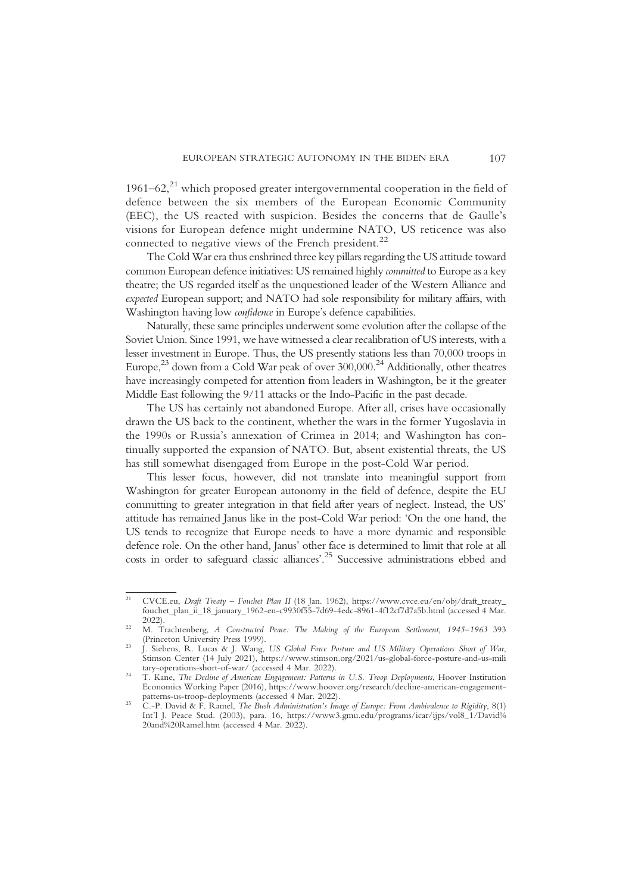1961–62, $^{21}$  which proposed greater intergovernmental cooperation in the field of defence between the six members of the European Economic Community (EEC), the US reacted with suspicion. Besides the concerns that de Gaulle's visions for European defence might undermine NATO, US reticence was also connected to negative views of the French president.<sup>22</sup>

The Cold War era thus enshrined three key pillars regarding the US attitude toward common European defence initiatives: US remained highly committed to Europe as a key theatre; the US regarded itself as the unquestioned leader of the Western Alliance and expected European support; and NATO had sole responsibility for military affairs, with Washington having low confidence in Europe's defence capabilities.

Naturally, these same principles underwent some evolution after the collapse of the Soviet Union. Since 1991, we have witnessed a clear recalibration of US interests, with a lesser investment in Europe. Thus, the US presently stations less than 70,000 troops in Europe, $^{23}$  down from a Cold War peak of over 300,000.<sup>24</sup> Additionally, other theatres have increasingly competed for attention from leaders in Washington, be it the greater Middle East following the 9/11 attacks or the Indo-Pacific in the past decade.

The US has certainly not abandoned Europe. After all, crises have occasionally drawn the US back to the continent, whether the wars in the former Yugoslavia in the 1990s or Russia's annexation of Crimea in 2014; and Washington has continually supported the expansion of NATO. But, absent existential threats, the US has still somewhat disengaged from Europe in the post-Cold War period.

This lesser focus, however, did not translate into meaningful support from Washington for greater European autonomy in the field of defence, despite the EU committing to greater integration in that field after years of neglect. Instead, the US' attitude has remained Janus like in the post-Cold War period: 'On the one hand, the US tends to recognize that Europe needs to have a more dynamic and responsible defence role. On the other hand, Janus' other face is determined to limit that role at all costs in order to safeguard classic alliances'. <sup>25</sup> Successive administrations ebbed and

<sup>&</sup>lt;sup>21</sup> CVCE.eu, Draft Treaty - Fouchet Plan II (18 Jan. 1962), https://www.cvce.eu/en/obj/draft\_treaty\_ fouchet\_plan\_ii\_18\_january\_1962-en-c9930f55-7d69-4edc-8961-4f12cf7d7a5b.html (accessed 4 Mar.

<sup>&</sup>lt;sup>22</sup> M. Trachtenberg, *A Constructed Peace: The Making of the European Settlement, 1945–1963* 393 (Princeton University Press 1999).

<sup>&</sup>lt;sup>23</sup> J. Siebens, R. Lucas & J. Wang, US Global Force Posture and US Military Operations Short of War, Stimson Center (14 July 2021), https://www.stimson.org/2021/us-global-force-posture-and-us-mili tary-operations-short-of-war/ (accessed 4 Mar. 2022).

tary-operations-short-of-war/ (accessed 4 mar. 2022).<br><sup>24</sup> T. Kane, *The Decline of American Engagement: Patterns in U.S. Troop Deployments*, Hoover Institution Economics Working Paper (2016), https://www.hoover.org/research/decline-american-engagement-

patterns-us-troop-deployments (accessed 4 *Mar. 2022)*.<br><sup>25</sup> C.-P. David & F. Ramel, *The Bush Administration's Image of Europe: From Ambivalence to Rigidity*, 8(1) Int'l J. Peace Stud. (2003), para. 16, https://www3.gmu.edu/programs/icar/ijps/vol8\_1/David% 20and%20Ramel.htm (accessed 4 Mar. 2022).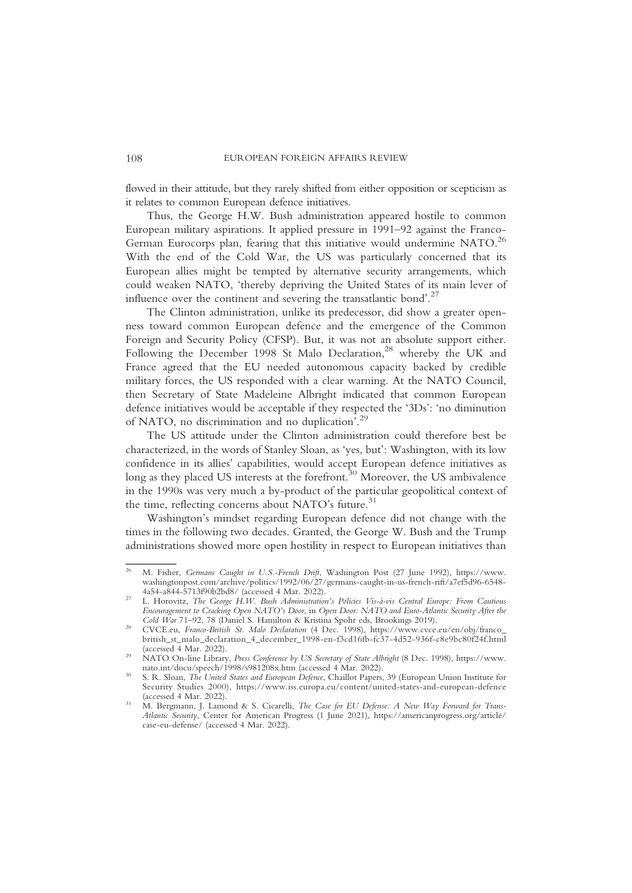flowed in their attitude, but they rarely shifted from either opposition or scepticism as it relates to common European defence initiatives.

Thus, the George H.W. Bush administration appeared hostile to common European military aspirations. It applied pressure in 1991–92 against the Franco-German Eurocorps plan, fearing that this initiative would undermine NATO.<sup>26</sup> With the end of the Cold War, the US was particularly concerned that its European allies might be tempted by alternative security arrangements, which could weaken NATO, 'thereby depriving the United States of its main lever of influence over the continent and severing the transatlantic bond'.<sup>27</sup>

The Clinton administration, unlike its predecessor, did show a greater openness toward common European defence and the emergence of the Common Foreign and Security Policy (CFSP). But, it was not an absolute support either. Following the December 1998 St Malo Declaration,<sup>28</sup> whereby the UK and France agreed that the EU needed autonomous capacity backed by credible military forces, the US responded with a clear warning. At the NATO Council, then Secretary of State Madeleine Albright indicated that common European defence initiatives would be acceptable if they respected the '3Ds': 'no diminution of NATO, no discrimination and no duplication<sup>'.29</sup>

The US attitude under the Clinton administration could therefore best be characterized, in the words of Stanley Sloan, as 'yes, but': Washington, with its low confidence in its allies' capabilities, would accept European defence initiatives as long as they placed US interests at the forefront.<sup>30</sup> Moreover, the US ambivalence in the 1990s was very much a by-product of the particular geopolitical context of the time, reflecting concerns about NATO's future. $31$ 

Washington's mindset regarding European defence did not change with the times in the following two decades. Granted, the George W. Bush and the Trump administrations showed more open hostility in respect to European initiatives than

<sup>&</sup>lt;sup>26</sup> M. Fisher, Germans Caught in U.S.-French Drift, Washington Post (27 June 1992), https://www. washingtonpost.com/archive/politics/1992/06/27/germans-caught-in-us-french-rift/a7ef5d96-6548-4a54-a844-5713f90b2bd8/ (accessed 4 Mar. 2022).

<sup>&</sup>lt;sup>27</sup> L. Horovitz, The George H.W. Bush Administration's Policies Vis-à-vis Central Europe: From Cautious Encouragement to Cracking Open NATO's Door, in Open Door: NATO and Euro-Atlantic Security After the Cold War 71–92, 78 (Daniel S. Hamilton & Kristina Spohr eds, Brookings 2019).

<sup>&</sup>lt;sup>28</sup> CVCE.eu, Franco-British St. Malo Declaration (4 Dec. 1998), https://www.cvce.eu/en/obj/franco\_ british\_st\_malo\_declaration\_4\_december\_1998-en-f3cd16fb-fc37-4d52-936f-c8e9bc80f24f.html

<sup>&</sup>lt;sup>29</sup> NATO On-line Library, *Press Conference by US Secretary of State Albright* (8 Dec. 1998), https://www.<br>nato.int/docu/speech/1998/s981208x.htm (accessed 4 Mar. 2022).

<sup>&</sup>lt;sup>30</sup> S. R. Sloan, *The United States and European Defence*, Chaillot Papers, 39 (European Union Institute for Security Studies 2000), https://www.iss.europa.eu/content/united-states-and-european-defence

<sup>&</sup>lt;sup>31</sup> M. Bergmann, J. Lamond & S. Cicarelli, *The Case for EU Defense: A New Way Forward for Trans-*Atlantic Security, Center for American Progress (1 June 2021), https://americanprogress.org/article/ case-eu-defense/ (accessed 4 Mar. 2022).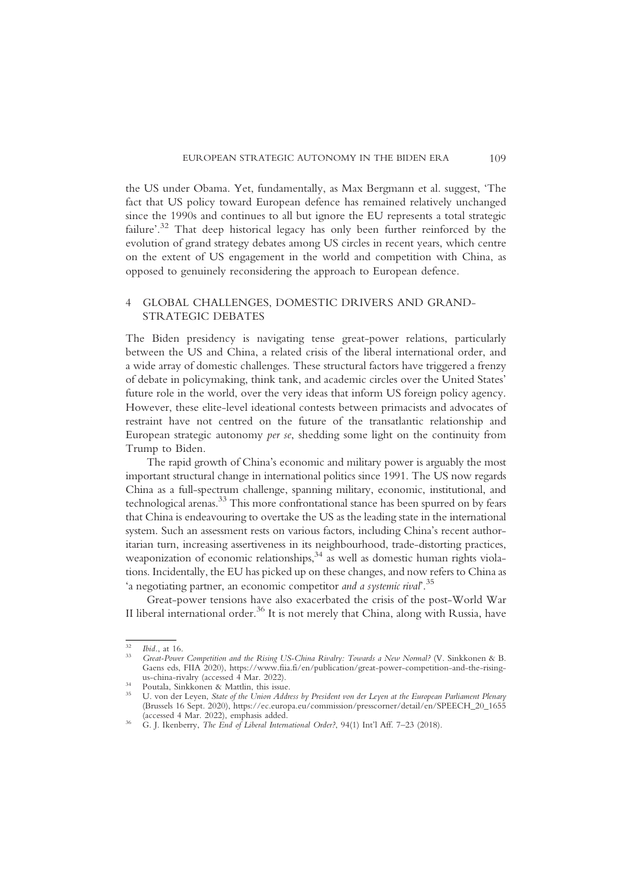the US under Obama. Yet, fundamentally, as Max Bergmann et al. suggest, 'The fact that US policy toward European defence has remained relatively unchanged since the 1990s and continues to all but ignore the EU represents a total strategic failure'.<sup>32</sup> That deep historical legacy has only been further reinforced by the evolution of grand strategy debates among US circles in recent years, which centre on the extent of US engagement in the world and competition with China, as opposed to genuinely reconsidering the approach to European defence.

# 4 GLOBAL CHALLENGES, DOMESTIC DRIVERS AND GRAND-STRATEGIC DEBATES

The Biden presidency is navigating tense great-power relations, particularly between the US and China, a related crisis of the liberal international order, and a wide array of domestic challenges. These structural factors have triggered a frenzy of debate in policymaking, think tank, and academic circles over the United States' future role in the world, over the very ideas that inform US foreign policy agency. However, these elite-level ideational contests between primacists and advocates of restraint have not centred on the future of the transatlantic relationship and European strategic autonomy per se, shedding some light on the continuity from Trump to Biden.

The rapid growth of China's economic and military power is arguably the most important structural change in international politics since 1991. The US now regards China as a full-spectrum challenge, spanning military, economic, institutional, and technological arenas.33 This more confrontational stance has been spurred on by fears that China is endeavouring to overtake the US as the leading state in the international system. Such an assessment rests on various factors, including China's recent authoritarian turn, increasing assertiveness in its neighbourhood, trade-distorting practices, weaponization of economic relationships, $34$  as well as domestic human rights violations. Incidentally, the EU has picked up on these changes, and now refers to China as 'a negotiating partner, an economic competitor and a systemic rival'.<sup>35</sup>

Great-power tensions have also exacerbated the crisis of the post-World War II liberal international order.<sup>36</sup> It is not merely that China, along with Russia, have

<sup>&</sup>lt;sup>32</sup> Ibid., at 16.<br><sup>33</sup> Great-Power Competition and the Rising US-China Rivalry: Towards a New Normal? (V. Sinkkonen & B. Gaens eds, FIIA 2020), https://www.fiia.fi/en/publication/great-power-competition-and-the-rising-<br>us-china-rivalry (accessed 4 Mar. 2022).

<sup>&</sup>lt;sup>34</sup> Poutala, Sinkkonen & Mattlin, this issue.<br><sup>35</sup> U. von der Leyen, *State of the Union Address by President von der Leyen at the European Parliament Plenary* (Brussels 16 Sept. 2020), https://ec.europa.eu/commission/presscorner/detail/en/SPEECH\_20\_1655

<sup>&</sup>lt;sup>36</sup> G. J. Ikenberry, *The End of Liberal International Order?*, 94(1) Int'l Aff. 7–23 (2018).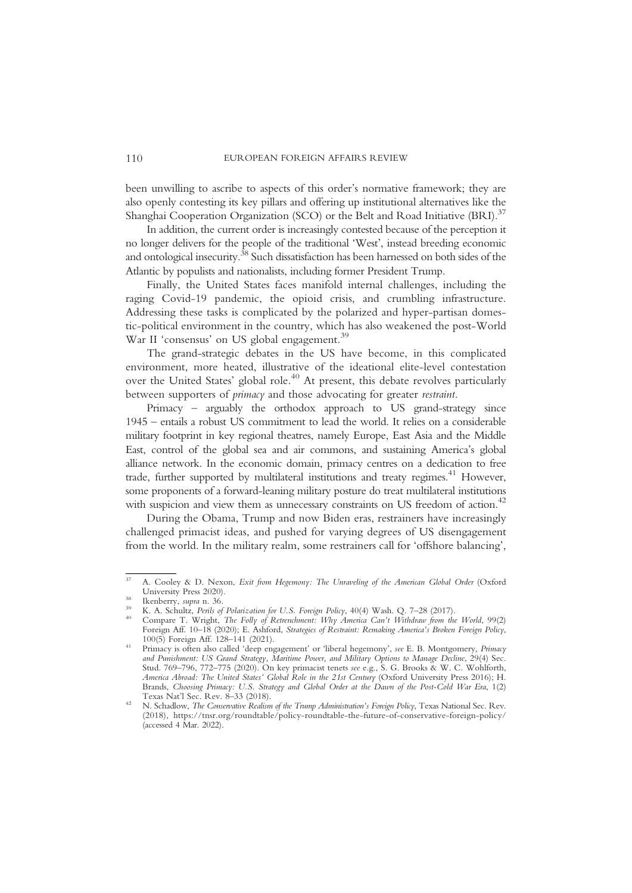been unwilling to ascribe to aspects of this order's normative framework; they are also openly contesting its key pillars and offering up institutional alternatives like the Shanghai Cooperation Organization (SCO) or the Belt and Road Initiative (BRI).<sup>37</sup>

In addition, the current order is increasingly contested because of the perception it no longer delivers for the people of the traditional 'West', instead breeding economic and ontological insecurity.<sup>38</sup> Such dissatisfaction has been harnessed on both sides of the Atlantic by populists and nationalists, including former President Trump.

Finally, the United States faces manifold internal challenges, including the raging Covid-19 pandemic, the opioid crisis, and crumbling infrastructure. Addressing these tasks is complicated by the polarized and hyper-partisan domestic-political environment in the country, which has also weakened the post-World War II 'consensus' on US global engagement.<sup>39</sup>

The grand-strategic debates in the US have become, in this complicated environment, more heated, illustrative of the ideational elite-level contestation over the United States' global role.<sup>40</sup> At present, this debate revolves particularly between supporters of primacy and those advocating for greater restraint.

Primacy – arguably the orthodox approach to US grand-strategy since 1945 – entails a robust US commitment to lead the world. It relies on a considerable military footprint in key regional theatres, namely Europe, East Asia and the Middle East, control of the global sea and air commons, and sustaining America's global alliance network. In the economic domain, primacy centres on a dedication to free trade, further supported by multilateral institutions and treaty regimes.<sup>41</sup> However, some proponents of a forward-leaning military posture do treat multilateral institutions with suspicion and view them as unnecessary constraints on US freedom of action.<sup>42</sup>

During the Obama, Trump and now Biden eras, restrainers have increasingly challenged primacist ideas, and pushed for varying degrees of US disengagement from the world. In the military realm, some restrainers call for 'offshore balancing',

<sup>&</sup>lt;sup>37</sup> A. Cooley & D. Nexon, *Exit from Hegemony: The Unraveling of the American Global Order* (Oxford University Press 2020).

<sup>&</sup>lt;sup>38</sup><br>
Ikenberry, *supra* n. 36.<br>
<sup>39</sup> K. A. Schultz, *Perils of Polarization for U.S. Foreign Policy*, 40(4) Wash. Q. 7–28 (2017).<br>
<sup>40</sup> Compare T. Wright, *The Folly of Retrenchment: Why America Can't Withdraw from the Wo* 

Foreign Aff. 10–18 (2020); E. Ashford, Strategies of Restraint: Remaking America's Broken Foreign Policy, 100(5) Foreign Aff. 128–141 (2021).

<sup>&</sup>lt;sup>41</sup> Primacy is often also called 'deep engagement' or 'liberal hegemony', see E. B. Montgomery, *Primacy* and Punishment: US Grand Strategy, Maritime Power, and Military Options to Manage Decline, 29(4) Sec. Stud. 769–796, 772–775 (2020). On key primacist tenets see e.g., S. G. Brooks & W. C. Wohlforth, America Abroad: The United States' Global Role in the 21st Century (Oxford University Press 2016); H. Brands, Choosing Primacy: U.S. Strategy and Global Order at the Dawn of the Post-Cold War Era, 1(2) Texas Nat'l Sec. Rev. 8-33 (2018).

<sup>&</sup>lt;sup>42</sup> N. Schadlow, *The Conservative Realism of the Trump Administration's Foreign Policy*, Texas National Sec. Rev. (2018), https://tnsr.org/roundtable/policy-roundtable-the-future-of-conservative-foreign-policy/ (accessed 4 Mar. 2022).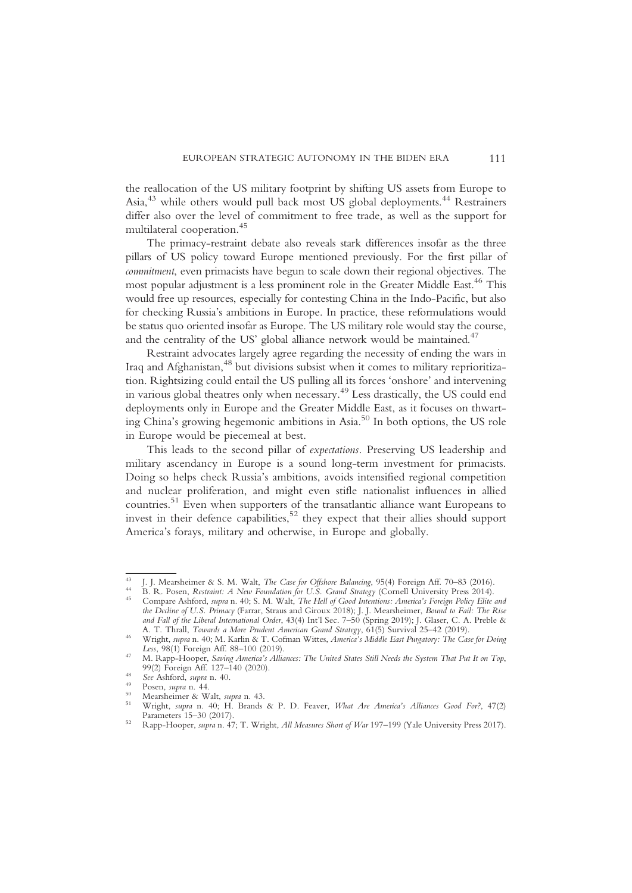the reallocation of the US military footprint by shifting US assets from Europe to Asia,<sup>43</sup> while others would pull back most US global deployments.<sup>44</sup> Restrainers differ also over the level of commitment to free trade, as well as the support for multilateral cooperation.<sup>45</sup>

The primacy-restraint debate also reveals stark differences insofar as the three pillars of US policy toward Europe mentioned previously. For the first pillar of commitment, even primacists have begun to scale down their regional objectives. The most popular adjustment is a less prominent role in the Greater Middle East.<sup>46</sup> This would free up resources, especially for contesting China in the Indo-Pacific, but also for checking Russia's ambitions in Europe. In practice, these reformulations would be status quo oriented insofar as Europe. The US military role would stay the course, and the centrality of the US' global alliance network would be maintained.<sup>47</sup>

Restraint advocates largely agree regarding the necessity of ending the wars in Iraq and Afghanistan,<sup>48</sup> but divisions subsist when it comes to military reprioritization. Rightsizing could entail the US pulling all its forces 'onshore' and intervening in various global theatres only when necessary.49 Less drastically, the US could end deployments only in Europe and the Greater Middle East, as it focuses on thwarting China's growing hegemonic ambitions in Asia.50 In both options, the US role in Europe would be piecemeal at best.

This leads to the second pillar of expectations. Preserving US leadership and military ascendancy in Europe is a sound long-term investment for primacists. Doing so helps check Russia's ambitions, avoids intensified regional competition and nuclear proliferation, and might even stifle nationalist influences in allied countries.51 Even when supporters of the transatlantic alliance want Europeans to invest in their defence capabilities,<sup>52</sup> they expect that their allies should support America's forays, military and otherwise, in Europe and globally.

<sup>&</sup>lt;sup>43</sup> J. J. Mearsheimer & S. M. Walt, *The Case for Offshore Balancing*, 95(4) Foreign Aff. 70–83 (2016).<br><sup>44</sup> B. R. Posen, *Restraint: A New Foundation for U.S. Grand Strategy* (Cornell University Press 2014).<br><sup>45</sup> Compar the Decline of U.S. Primacy (Farrar, Straus and Giroux 2018); J. J. Mearsheimer, Bound to Fail: The Rise and Fall of the Liberal International Order, 43(4) Int'l Sec. 7–50 (Spring 2019); J. Glaser, C. A. Preble & A. T. Thrall, *Towards a More Prudent American Grand Strategy*, 61(5) Survival 25–42 (2019).

<sup>&</sup>lt;sup>46</sup> Wright, *supra* n. 40; M. Karlin & T. Cofman Wittes, *America's Middle East Purgatory: The Case for Doing*<br>Less, 98(1) Foreign Aff. 88–100 (2019).

<sup>17</sup> M. Rapp-Hooper, Saving America's Alliances: The United States Still Needs the System That Put It on Top,<br>99(2) Foreign Aff. 127–140 (2020).

<sup>99</sup> See Ashford, supra n. 40.<br>
<sup>49</sup> Posen, supra n. 44.<br>
<sup>50</sup> Mearsheimer & Walt, supra n. 43.<br>
<sup>51</sup> Wright, supra n. 40; H. Brands & P. D. Feaver, *What Are America's Alliances Good For?*, 47(2)<br>
Parameters 15–30 (2017).

<sup>52</sup> Rapp-Hooper, supra n. 47; T. Wright, All Measures Short of War 197-199 (Yale University Press 2017).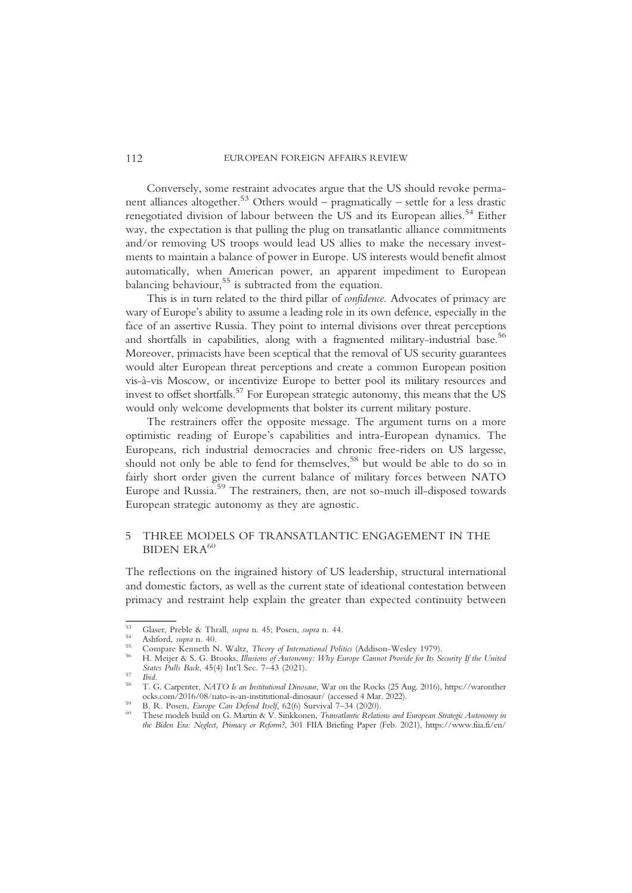Conversely, some restraint advocates argue that the US should revoke permanent alliances altogether.<sup>53</sup> Others would – pragmatically – settle for a less drastic renegotiated division of labour between the US and its European allies.<sup>54</sup> Either way, the expectation is that pulling the plug on transatlantic alliance commitments and/or removing US troops would lead US allies to make the necessary investments to maintain a balance of power in Europe. US interests would benefit almost automatically, when American power, an apparent impediment to European balancing behaviour,<sup>55</sup> is subtracted from the equation.

This is in turn related to the third pillar of confidence. Advocates of primacy are wary of Europe's ability to assume a leading role in its own defence, especially in the face of an assertive Russia. They point to internal divisions over threat perceptions and shortfalls in capabilities, along with a fragmented military-industrial base.<sup>56</sup> Moreover, primacists have been sceptical that the removal of US security guarantees would alter European threat perceptions and create a common European position vis-à-vis Moscow, or incentivize Europe to better pool its military resources and invest to offset shortfalls.<sup>57</sup> For European strategic autonomy, this means that the US would only welcome developments that bolster its current military posture.

The restrainers offer the opposite message. The argument turns on a more optimistic reading of Europe's capabilities and intra-European dynamics. The Europeans, rich industrial democracies and chronic free-riders on US largesse, should not only be able to fend for themselves,<sup>58</sup> but would be able to do so in fairly short order given the current balance of military forces between NATO Europe and Russia.<sup>59</sup> The restrainers, then, are not so-much ill-disposed towards European strategic autonomy as they are agnostic.

## 5 THREE MODELS OF TRANSATLANTIC ENGAGEMENT IN THE BIDEN ER  $A^{60}$

The reflections on the ingrained history of US leadership, structural international and domestic factors, as well as the current state of ideational contestation between primacy and restraint help explain the greater than expected continuity between

<sup>&</sup>lt;sup>53</sup> Glaser, Preble & Thrall, *supra* n. 45; Posen, *supra* n. 44.<br><sup>54</sup> Ashford, *supra* n. 40.<br><sup>55</sup> Compare Kenneth N. Waltz, *Theory of International Politics* (Addison-Wesley 1979).<br><sup>56</sup> H. Meijer & S. G. Brooks, *Illu* 

States Public Back, 456 T. G. Carpenter, NATO Is an Institutional Dinosaur, War on the Rocks (25 Aug. 2016), https://waronther<br>
ocks.com/2016/08/nato-is-an-institutional-dinosaur/ (accessed 4 Mar. 2022).

<sup>&</sup>lt;sup>59</sup> B. R. Posen, *Europe Can Defend Itself*, 62(6) Survival 7–34 (2020).<br><sup>60</sup> These models build on G. Martin & V. Sinkkonen, *Transatlantic Relations and European Strategic Autonomy in* the Biden Era: Neglect, Primacy or Reform?, 301 FIIA Briefing Paper (Feb. 2021), https://www.fiia.fi/en/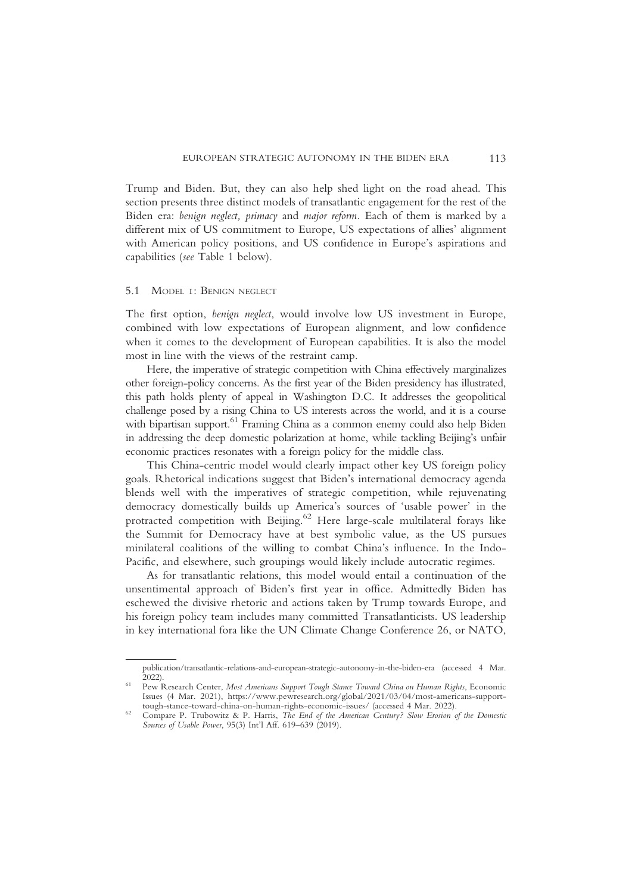Trump and Biden. But, they can also help shed light on the road ahead. This section presents three distinct models of transatlantic engagement for the rest of the Biden era: benign neglect, primacy and major reform. Each of them is marked by a different mix of US commitment to Europe, US expectations of allies' alignment with American policy positions, and US confidence in Europe's aspirations and capabilities (see Table 1 below).

### 5.1 MODEL 1: BENIGN NEGLECT

The first option, benign neglect, would involve low US investment in Europe, combined with low expectations of European alignment, and low confidence when it comes to the development of European capabilities. It is also the model most in line with the views of the restraint camp.

Here, the imperative of strategic competition with China effectively marginalizes other foreign-policy concerns. As the first year of the Biden presidency has illustrated, this path holds plenty of appeal in Washington D.C. It addresses the geopolitical challenge posed by a rising China to US interests across the world, and it is a course with bipartisan support.<sup>61</sup> Framing China as a common enemy could also help Biden in addressing the deep domestic polarization at home, while tackling Beijing's unfair economic practices resonates with a foreign policy for the middle class.

This China-centric model would clearly impact other key US foreign policy goals. Rhetorical indications suggest that Biden's international democracy agenda blends well with the imperatives of strategic competition, while rejuvenating democracy domestically builds up America's sources of 'usable power' in the protracted competition with Beijing.<sup>62</sup> Here large-scale multilateral forays like the Summit for Democracy have at best symbolic value, as the US pursues minilateral coalitions of the willing to combat China's influence. In the Indo-Pacific, and elsewhere, such groupings would likely include autocratic regimes.

As for transatlantic relations, this model would entail a continuation of the unsentimental approach of Biden's first year in office. Admittedly Biden has eschewed the divisive rhetoric and actions taken by Trump towards Europe, and his foreign policy team includes many committed Transatlanticists. US leadership in key international fora like the UN Climate Change Conference 26, or NATO,

publication/transatlantic-relations-and-european-strategic-autonomy-in-the-biden-era (accessed 4 Mar.

<sup>&</sup>lt;sup>61</sup> Pew Research Center, Most Americans Support Tough Stance Toward China on Human Rights, Economic Issues (4 Mar. 2021), https://www.pewresearch.org/global/2021/03/04/most-americans-support-

<sup>&</sup>lt;sup>62</sup> Compare P. Trubowitz & P. Harris, *The End of the American Century? Slow Erosion of the Domestic* Sources of Usable Power, 95(3) Int'l Aff. 619–639 (2019).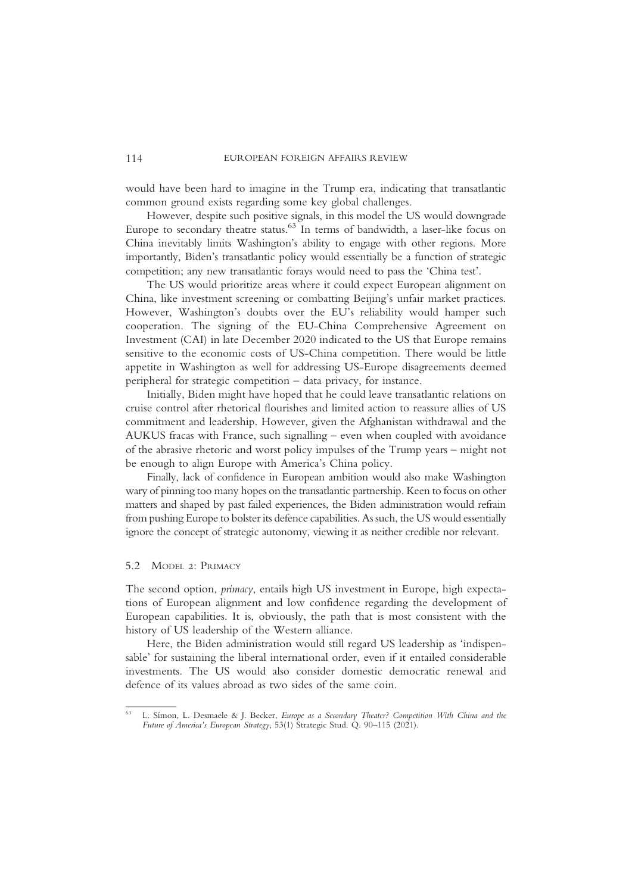would have been hard to imagine in the Trump era, indicating that transatlantic common ground exists regarding some key global challenges.

However, despite such positive signals, in this model the US would downgrade Europe to secondary theatre status.<sup>63</sup> In terms of bandwidth, a laser-like focus on China inevitably limits Washington's ability to engage with other regions. More importantly, Biden's transatlantic policy would essentially be a function of strategic competition; any new transatlantic forays would need to pass the 'China test'.

The US would prioritize areas where it could expect European alignment on China, like investment screening or combatting Beijing's unfair market practices. However, Washington's doubts over the EU's reliability would hamper such cooperation. The signing of the EU-China Comprehensive Agreement on Investment (CAI) in late December 2020 indicated to the US that Europe remains sensitive to the economic costs of US-China competition. There would be little appetite in Washington as well for addressing US-Europe disagreements deemed peripheral for strategic competition – data privacy, for instance.

Initially, Biden might have hoped that he could leave transatlantic relations on cruise control after rhetorical flourishes and limited action to reassure allies of US commitment and leadership. However, given the Afghanistan withdrawal and the AUKUS fracas with France, such signalling – even when coupled with avoidance of the abrasive rhetoric and worst policy impulses of the Trump years – might not be enough to align Europe with America's China policy.

Finally, lack of confidence in European ambition would also make Washington wary of pinning too many hopes on the transatlantic partnership. Keen to focus on other matters and shaped by past failed experiences, the Biden administration would refrain from pushing Europe to bolster its defence capabilities. As such, the US would essentially ignore the concept of strategic autonomy, viewing it as neither credible nor relevant.

## 5.2 MODEL 2: PRIMACY

The second option, primacy, entails high US investment in Europe, high expectations of European alignment and low confidence regarding the development of European capabilities. It is, obviously, the path that is most consistent with the history of US leadership of the Western alliance.

Here, the Biden administration would still regard US leadership as 'indispensable' for sustaining the liberal international order, even if it entailed considerable investments. The US would also consider domestic democratic renewal and defence of its values abroad as two sides of the same coin.

<sup>63</sup> L. Símon, L. Desmaele & J. Becker, Europe as a Secondary Theater? Competition With China and the Future of America's European Strategy, 53(1) Strategic Stud. Q. 90–115 (2021).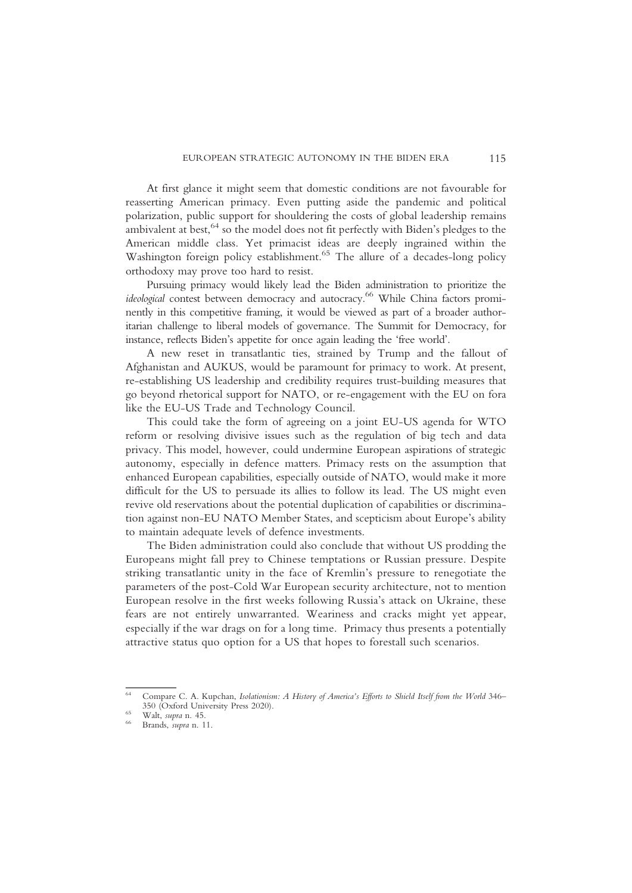At first glance it might seem that domestic conditions are not favourable for reasserting American primacy. Even putting aside the pandemic and political polarization, public support for shouldering the costs of global leadership remains ambivalent at best, <sup>64</sup> so the model does not fit perfectly with Biden's pledges to the American middle class. Yet primacist ideas are deeply ingrained within the Washington foreign policy establishment.<sup>65</sup> The allure of a decades-long policy orthodoxy may prove too hard to resist.

Pursuing primacy would likely lead the Biden administration to prioritize the ideological contest between democracy and autocracy.<sup>66</sup> While China factors prominently in this competitive framing, it would be viewed as part of a broader authoritarian challenge to liberal models of governance. The Summit for Democracy, for instance, reflects Biden's appetite for once again leading the 'free world'.

A new reset in transatlantic ties, strained by Trump and the fallout of Afghanistan and AUKUS, would be paramount for primacy to work. At present, re-establishing US leadership and credibility requires trust-building measures that go beyond rhetorical support for NATO, or re-engagement with the EU on fora like the EU-US Trade and Technology Council.

This could take the form of agreeing on a joint EU-US agenda for WTO reform or resolving divisive issues such as the regulation of big tech and data privacy. This model, however, could undermine European aspirations of strategic autonomy, especially in defence matters. Primacy rests on the assumption that enhanced European capabilities, especially outside of NATO, would make it more difficult for the US to persuade its allies to follow its lead. The US might even revive old reservations about the potential duplication of capabilities or discrimination against non-EU NATO Member States, and scepticism about Europe's ability to maintain adequate levels of defence investments.

The Biden administration could also conclude that without US prodding the Europeans might fall prey to Chinese temptations or Russian pressure. Despite striking transatlantic unity in the face of Kremlin's pressure to renegotiate the parameters of the post-Cold War European security architecture, not to mention European resolve in the first weeks following Russia's attack on Ukraine, these fears are not entirely unwarranted. Weariness and cracks might yet appear, especially if the war drags on for a long time. Primacy thus presents a potentially attractive status quo option for a US that hopes to forestall such scenarios.

<sup>&</sup>lt;sup>64</sup> Compare C. A. Kupchan, *Isolationism: A History of America's Efforts to Shield Itself from the World 346–350 (Oxford University Press 2020).* 

 $55$  Walt, supra n. 45.<br>  $56$  Brands, supra n. 11.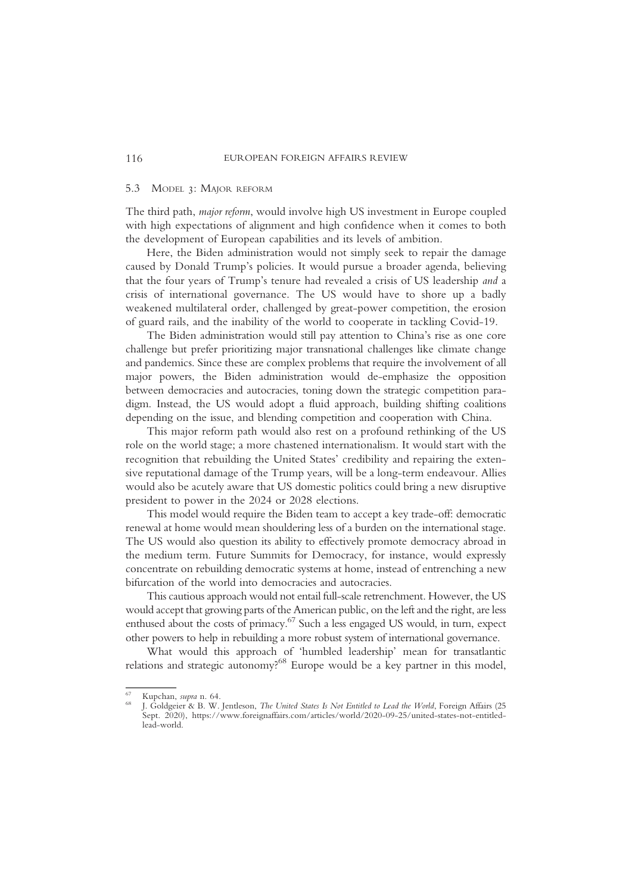### 5.3 MODEL 3: MAJOR REFORM

The third path, major reform, would involve high US investment in Europe coupled with high expectations of alignment and high confidence when it comes to both the development of European capabilities and its levels of ambition.

Here, the Biden administration would not simply seek to repair the damage caused by Donald Trump's policies. It would pursue a broader agenda, believing that the four years of Trump's tenure had revealed a crisis of US leadership and a crisis of international governance. The US would have to shore up a badly weakened multilateral order, challenged by great-power competition, the erosion of guard rails, and the inability of the world to cooperate in tackling Covid-19.

The Biden administration would still pay attention to China's rise as one core challenge but prefer prioritizing major transnational challenges like climate change and pandemics. Since these are complex problems that require the involvement of all major powers, the Biden administration would de-emphasize the opposition between democracies and autocracies, toning down the strategic competition paradigm. Instead, the US would adopt a fluid approach, building shifting coalitions depending on the issue, and blending competition and cooperation with China.

This major reform path would also rest on a profound rethinking of the US role on the world stage; a more chastened internationalism. It would start with the recognition that rebuilding the United States' credibility and repairing the extensive reputational damage of the Trump years, will be a long-term endeavour. Allies would also be acutely aware that US domestic politics could bring a new disruptive president to power in the 2024 or 2028 elections.

This model would require the Biden team to accept a key trade-off: democratic renewal at home would mean shouldering less of a burden on the international stage. The US would also question its ability to effectively promote democracy abroad in the medium term. Future Summits for Democracy, for instance, would expressly concentrate on rebuilding democratic systems at home, instead of entrenching a new bifurcation of the world into democracies and autocracies.

This cautious approach would not entail full-scale retrenchment. However, the US would accept that growing parts of the American public, on the left and the right, are less enthused about the costs of primacy.<sup>67</sup> Such a less engaged US would, in turn, expect other powers to help in rebuilding a more robust system of international governance.

What would this approach of 'humbled leadership' mean for transatlantic relations and strategic autonomy?<sup>68</sup> Europe would be a key partner in this model,

<sup>&</sup>lt;sup>67</sup> Kupchan, *supra* n. 64.<br><sup>68</sup> J. Goldgeier & B. W. Jentleson, *The United States Is Not Entitled to Lead the World*, Foreign Affairs (25 Sept. 2020), https://www.foreignaffairs.com/articles/world/2020-09-25/united-states-not-entitledlead-world.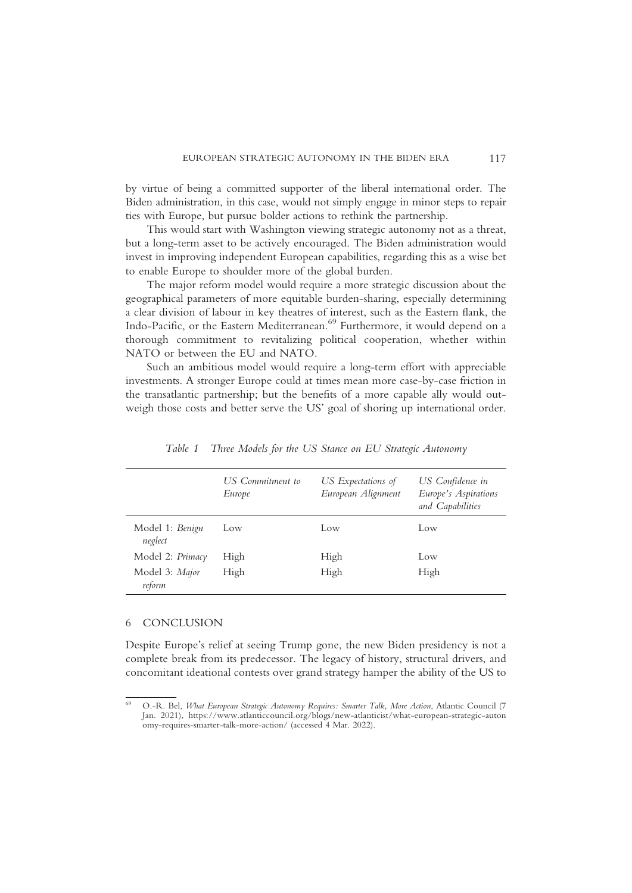by virtue of being a committed supporter of the liberal international order. The Biden administration, in this case, would not simply engage in minor steps to repair ties with Europe, but pursue bolder actions to rethink the partnership.

This would start with Washington viewing strategic autonomy not as a threat, but a long-term asset to be actively encouraged. The Biden administration would invest in improving independent European capabilities, regarding this as a wise bet to enable Europe to shoulder more of the global burden.

The major reform model would require a more strategic discussion about the geographical parameters of more equitable burden-sharing, especially determining a clear division of labour in key theatres of interest, such as the Eastern flank, the Indo-Pacific, or the Eastern Mediterranean.<sup>69</sup> Furthermore, it would depend on a thorough commitment to revitalizing political cooperation, whether within NATO or between the EU and NATO.

Such an ambitious model would require a long-term effort with appreciable investments. A stronger Europe could at times mean more case-by-case friction in the transatlantic partnership; but the benefits of a more capable ally would outweigh those costs and better serve the US' goal of shoring up international order.

|                            | US Commitment to<br>Europe | US Expectations of<br>European Alignment | US Confidence in<br>Europe's Aspirations<br>and Capabilities |
|----------------------------|----------------------------|------------------------------------------|--------------------------------------------------------------|
| Model 1: Benign<br>neglect | Low                        | Low                                      | Low                                                          |
| Model 2: Primacy           | High                       | High                                     | Low                                                          |
| Model 3: Major<br>reform   | High                       | High                                     | High                                                         |

Table 1 Three Models for the US Stance on EU Strategic Autonomy

#### 6 CONCLUSION

Despite Europe's relief at seeing Trump gone, the new Biden presidency is not a complete break from its predecessor. The legacy of history, structural drivers, and concomitant ideational contests over grand strategy hamper the ability of the US to

<sup>69</sup> O.-R. Bel, What European Strategic Autonomy Requires: Smarter Talk, More Action, Atlantic Council (7 Jan. 2021), https://www.atlanticcouncil.org/blogs/new-atlanticist/what-european-strategic-auton omy-requires-smarter-talk-more-action/ (accessed 4 Mar. 2022).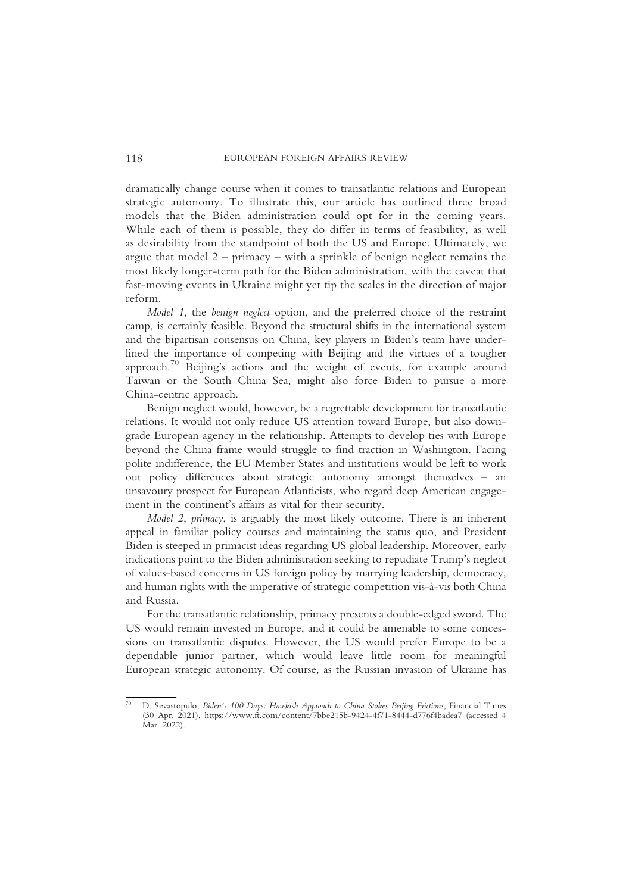dramatically change course when it comes to transatlantic relations and European strategic autonomy. To illustrate this, our article has outlined three broad models that the Biden administration could opt for in the coming years. While each of them is possible, they do differ in terms of feasibility, as well as desirability from the standpoint of both the US and Europe. Ultimately, we argue that model  $2 - \text{primary} - \text{with a spring}$  of benign neglect remains the most likely longer-term path for the Biden administration, with the caveat that fast-moving events in Ukraine might yet tip the scales in the direction of major reform.

Model 1, the benign neglect option, and the preferred choice of the restraint camp, is certainly feasible. Beyond the structural shifts in the international system and the bipartisan consensus on China, key players in Biden's team have underlined the importance of competing with Beijing and the virtues of a tougher approach.<sup>70</sup> Beijing's actions and the weight of events, for example around Taiwan or the South China Sea, might also force Biden to pursue a more China-centric approach.

Benign neglect would, however, be a regrettable development for transatlantic relations. It would not only reduce US attention toward Europe, but also downgrade European agency in the relationship. Attempts to develop ties with Europe beyond the China frame would struggle to find traction in Washington. Facing polite indifference, the EU Member States and institutions would be left to work out policy differences about strategic autonomy amongst themselves – an unsavoury prospect for European Atlanticists, who regard deep American engagement in the continent's affairs as vital for their security.

Model 2, primacy, is arguably the most likely outcome. There is an inherent appeal in familiar policy courses and maintaining the status quo, and President Biden is steeped in primacist ideas regarding US global leadership. Moreover, early indications point to the Biden administration seeking to repudiate Trump's neglect of values-based concerns in US foreign policy by marrying leadership, democracy, and human rights with the imperative of strategic competition vis-à-vis both China and Russia.

For the transatlantic relationship, primacy presents a double-edged sword. The US would remain invested in Europe, and it could be amenable to some concessions on transatlantic disputes. However, the US would prefer Europe to be a dependable junior partner, which would leave little room for meaningful European strategic autonomy. Of course, as the Russian invasion of Ukraine has

<sup>70</sup> D. Sevastopulo, Biden's 100 Days: Hawkish Approach to China Stokes Beijing Frictions, Financial Times (30 Apr. 2021), https://www.ft.com/content/7bbe215b-9424-4f71-8444-d776f4badea7 (accessed 4 Mar. 2022).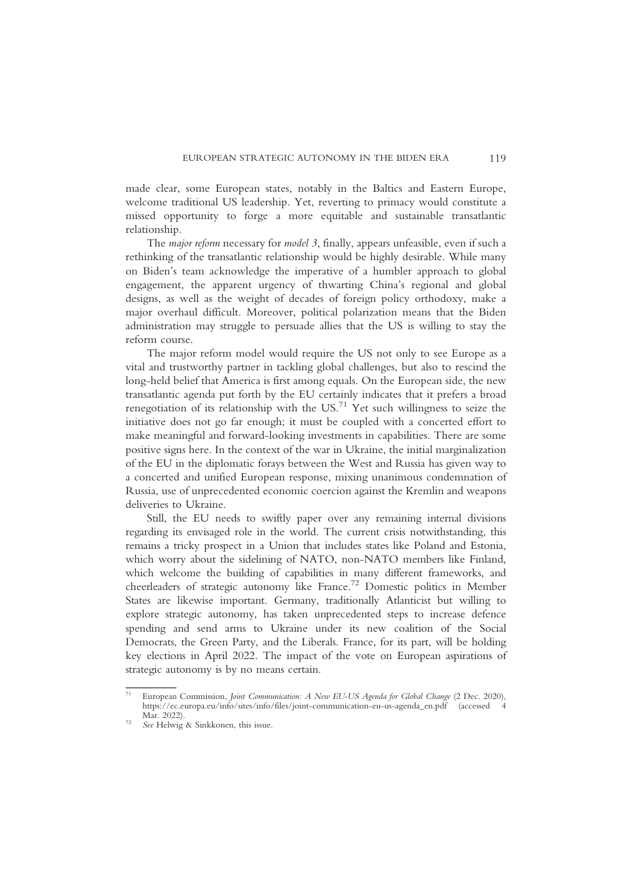made clear, some European states, notably in the Baltics and Eastern Europe, welcome traditional US leadership. Yet, reverting to primacy would constitute a missed opportunity to forge a more equitable and sustainable transatlantic relationship.

The major reform necessary for model 3, finally, appears unfeasible, even if such a rethinking of the transatlantic relationship would be highly desirable. While many on Biden's team acknowledge the imperative of a humbler approach to global engagement, the apparent urgency of thwarting China's regional and global designs, as well as the weight of decades of foreign policy orthodoxy, make a major overhaul difficult. Moreover, political polarization means that the Biden administration may struggle to persuade allies that the US is willing to stay the reform course.

The major reform model would require the US not only to see Europe as a vital and trustworthy partner in tackling global challenges, but also to rescind the long-held belief that America is first among equals. On the European side, the new transatlantic agenda put forth by the EU certainly indicates that it prefers a broad renegotiation of its relationship with the  $US^{71}$  Yet such willingness to seize the initiative does not go far enough; it must be coupled with a concerted effort to make meaningful and forward-looking investments in capabilities. There are some positive signs here. In the context of the war in Ukraine, the initial marginalization of the EU in the diplomatic forays between the West and Russia has given way to a concerted and unified European response, mixing unanimous condemnation of Russia, use of unprecedented economic coercion against the Kremlin and weapons deliveries to Ukraine.

Still, the EU needs to swiftly paper over any remaining internal divisions regarding its envisaged role in the world. The current crisis notwithstanding, this remains a tricky prospect in a Union that includes states like Poland and Estonia, which worry about the sidelining of NATO, non-NATO members like Finland, which welcome the building of capabilities in many different frameworks, and cheerleaders of strategic autonomy like France.<sup>72</sup> Domestic politics in Member States are likewise important. Germany, traditionally Atlanticist but willing to explore strategic autonomy, has taken unprecedented steps to increase defence spending and send arms to Ukraine under its new coalition of the Social Democrats, the Green Party, and the Liberals. France, for its part, will be holding key elections in April 2022. The impact of the vote on European aspirations of strategic autonomy is by no means certain.

<sup>&</sup>lt;sup>71</sup> European Commission, Joint Communication: A New EU-US Agenda for Global Change (2 Dec. 2020), https://ec.europa.eu/info/sites/info/files/joint-communication-eu-us-agenda\_en.pdf (accessed 4<br>Mar. 2022).

 $\frac{72}{2}$  See Helwig & Sinkkonen, this issue.